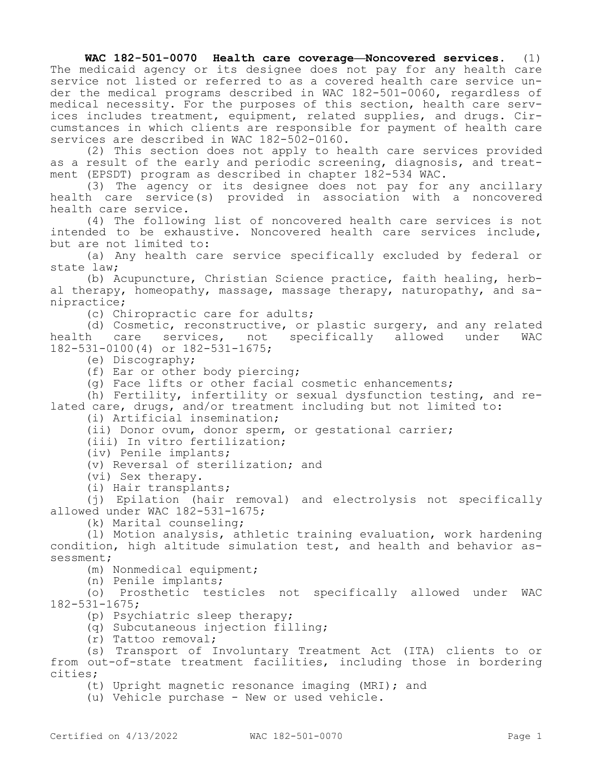**WAC 182-501-0070 Health care coverage—Noncovered services.** (1) The medicaid agency or its designee does not pay for any health care service not listed or referred to as a covered health care service under the medical programs described in WAC 182-501-0060, regardless of medical necessity. For the purposes of this section, health care services includes treatment, equipment, related supplies, and drugs. Circumstances in which clients are responsible for payment of health care services are described in WAC 182-502-0160.

(2) This section does not apply to health care services provided as a result of the early and periodic screening, diagnosis, and treatment (EPSDT) program as described in chapter 182-534 WAC.

(3) The agency or its designee does not pay for any ancillary health care service(s) provided in association with a noncovered health care service.

(4) The following list of noncovered health care services is not intended to be exhaustive. Noncovered health care services include, but are not limited to:

(a) Any health care service specifically excluded by federal or state law;

(b) Acupuncture, Christian Science practice, faith healing, herbal therapy, homeopathy, massage, massage therapy, naturopathy, and sanipractice;

(c) Chiropractic care for adults;

(d) Cosmetic, reconstructive, or plastic surgery, and any related health care services, not specifically allowed under WAC 182-531-0100(4) or 182-531-1675;

(e) Discography;

(f) Ear or other body piercing;

(g) Face lifts or other facial cosmetic enhancements;

(h) Fertility, infertility or sexual dysfunction testing, and related care, drugs, and/or treatment including but not limited to:

(i) Artificial insemination;

(ii) Donor ovum, donor sperm, or gestational carrier;

(iii) In vitro fertilization;

(iv) Penile implants;

(v) Reversal of sterilization; and

(vi) Sex therapy.

(i) Hair transplants;

(j) Epilation (hair removal) and electrolysis not specifically allowed under WAC 182-531-1675;

(k) Marital counseling;

(l) Motion analysis, athletic training evaluation, work hardening condition, high altitude simulation test, and health and behavior assessment;

(m) Nonmedical equipment;

(n) Penile implants;

(o) Prosthetic testicles not specifically allowed under WAC 182-531-1675;

(p) Psychiatric sleep therapy;

(q) Subcutaneous injection filling;

(r) Tattoo removal;

(s) Transport of Involuntary Treatment Act (ITA) clients to or from out-of-state treatment facilities, including those in bordering cities;

(t) Upright magnetic resonance imaging (MRI); and

(u) Vehicle purchase - New or used vehicle.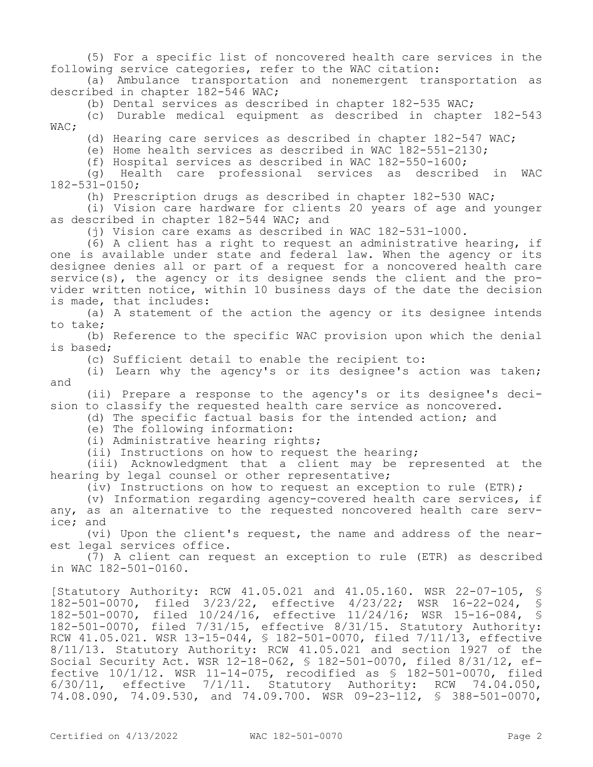(5) For a specific list of noncovered health care services in the following service categories, refer to the WAC citation:

(a) Ambulance transportation and nonemergent transportation as described in chapter 182-546 WAC;

(b) Dental services as described in chapter 182-535 WAC;

(c) Durable medical equipment as described in chapter 182-543 WAC;

(d) Hearing care services as described in chapter 182-547 WAC;

(e) Home health services as described in WAC 182-551-2130;

(f) Hospital services as described in WAC 182-550-1600;

(g) Health care professional services as described in WAC 182-531-0150;

(h) Prescription drugs as described in chapter 182-530 WAC;

(i) Vision care hardware for clients 20 years of age and younger as described in chapter 182-544 WAC; and

(j) Vision care exams as described in WAC 182-531-1000.

(6) A client has a right to request an administrative hearing, if one is available under state and federal law. When the agency or its designee denies all or part of a request for a noncovered health care service(s), the agency or its designee sends the client and the provider written notice, within 10 business days of the date the decision is made, that includes:

(a) A statement of the action the agency or its designee intends to take;

(b) Reference to the specific WAC provision upon which the denial is based;

(c) Sufficient detail to enable the recipient to:

(i) Learn why the agency's or its designee's action was taken; and

(ii) Prepare a response to the agency's or its designee's decision to classify the requested health care service as noncovered.

(d) The specific factual basis for the intended action; and

(e) The following information:

(i) Administrative hearing rights;

(ii) Instructions on how to request the hearing;

(iii) Acknowledgment that a client may be represented at the hearing by legal counsel or other representative;

(iv) Instructions on how to request an exception to rule (ETR);

(v) Information regarding agency-covered health care services, if any, as an alternative to the requested noncovered health care service; and

(vi) Upon the client's request, the name and address of the nearest legal services office.

(7) A client can request an exception to rule (ETR) as described in WAC 182-501-0160.

[Statutory Authority: RCW 41.05.021 and 41.05.160. WSR 22-07-105, § 182-501-0070, filed 3/23/22, effective 4/23/22; WSR 16-22-024, § 182-501-0070, filed 10/24/16, effective 11/24/16; WSR 15-16-084, § 182-501-0070, filed 7/31/15, effective 8/31/15. Statutory Authority: RCW 41.05.021. WSR 13-15-044, § 182-501-0070, filed 7/11/13, effective 8/11/13. Statutory Authority: RCW 41.05.021 and section 1927 of the Social Security Act. WSR 12-18-062, § 182-501-0070, filed 8/31/12, effective 10/1/12. WSR 11-14-075, recodified as § 182-501-0070, filed 6/30/11, effective 7/1/11. Statutory Authority: RCW 74.04.050, 74.08.090, 74.09.530, and 74.09.700. WSR 09-23-112, § 388-501-0070,